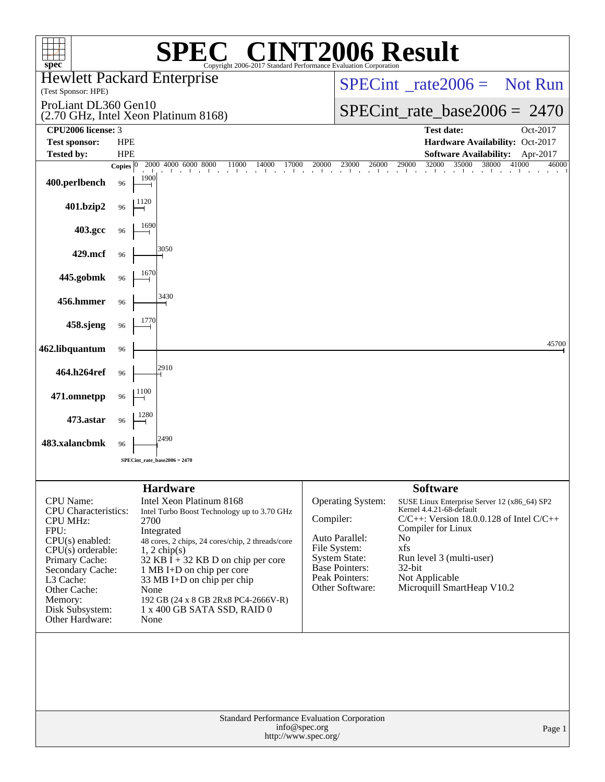| <b>T2006 Result</b><br>$\blacksquare$<br>$spec^*$<br>Copyright 2006-2017 Standard Performance Evaluation Corporatio |                                  |                                                                                                                                                                       |                                |                                                                                    |                                                                                                                                                                          |                |  |
|---------------------------------------------------------------------------------------------------------------------|----------------------------------|-----------------------------------------------------------------------------------------------------------------------------------------------------------------------|--------------------------------|------------------------------------------------------------------------------------|--------------------------------------------------------------------------------------------------------------------------------------------------------------------------|----------------|--|
| <b>Hewlett Packard Enterprise</b><br>(Test Sponsor: HPE)                                                            |                                  |                                                                                                                                                                       |                                | $SPECint^*_rate2006 =$ Not Run                                                     |                                                                                                                                                                          |                |  |
| ProLiant DL360 Gen10                                                                                                |                                  |                                                                                                                                                                       | $SPECint_rate_base2006 = 2470$ |                                                                                    |                                                                                                                                                                          |                |  |
| CPU2006 license: 3                                                                                                  |                                  | (2.70 GHz, Intel Xeon Platinum 8168)                                                                                                                                  |                                | <b>Test date:</b>                                                                  | Oct-2017                                                                                                                                                                 |                |  |
| <b>Test sponsor:</b>                                                                                                | <b>HPE</b>                       |                                                                                                                                                                       |                                |                                                                                    | Hardware Availability: Oct-2017                                                                                                                                          |                |  |
| <b>Tested by:</b>                                                                                                   | <b>HPE</b>                       |                                                                                                                                                                       |                                |                                                                                    | <b>Software Availability:</b>                                                                                                                                            | Apr-2017       |  |
| 400.perlbench                                                                                                       | Copies $ 0\rangle$<br>1900<br>96 | 2000 4000 6000 8000<br>11000<br>14000<br>17000                                                                                                                        | 20000                          | 23000<br>26000                                                                     | 32000<br>35000<br>38000<br>29000                                                                                                                                         | 41000<br>46000 |  |
| 401.bzip2                                                                                                           | 1120<br>96                       |                                                                                                                                                                       |                                |                                                                                    |                                                                                                                                                                          |                |  |
| 403.gcc                                                                                                             | 1690<br>96                       |                                                                                                                                                                       |                                |                                                                                    |                                                                                                                                                                          |                |  |
| 429.mcf                                                                                                             | 96                               | 3050                                                                                                                                                                  |                                |                                                                                    |                                                                                                                                                                          |                |  |
| 445.gobmk                                                                                                           | 1670<br>96                       |                                                                                                                                                                       |                                |                                                                                    |                                                                                                                                                                          |                |  |
| 456.hmmer                                                                                                           | 96                               | 3430                                                                                                                                                                  |                                |                                                                                    |                                                                                                                                                                          |                |  |
| 458.sjeng                                                                                                           | 1770<br>96                       |                                                                                                                                                                       |                                |                                                                                    |                                                                                                                                                                          |                |  |
| 462.libquantum                                                                                                      | 96                               |                                                                                                                                                                       |                                |                                                                                    |                                                                                                                                                                          | 45700          |  |
| 464.h264ref                                                                                                         | 96                               | 2910                                                                                                                                                                  |                                |                                                                                    |                                                                                                                                                                          |                |  |
| 471.omnetpp                                                                                                         | 1100<br>96                       |                                                                                                                                                                       |                                |                                                                                    |                                                                                                                                                                          |                |  |
| 473.astar                                                                                                           | 1280<br>96                       |                                                                                                                                                                       |                                |                                                                                    |                                                                                                                                                                          |                |  |
| 483.xalancbmk                                                                                                       | 96                               | 2490                                                                                                                                                                  |                                |                                                                                    |                                                                                                                                                                          |                |  |
|                                                                                                                     |                                  | $SPECint_rate_base2006 = 2470$                                                                                                                                        |                                |                                                                                    |                                                                                                                                                                          |                |  |
|                                                                                                                     |                                  | <b>Hardware</b>                                                                                                                                                       |                                |                                                                                    | <b>Software</b>                                                                                                                                                          |                |  |
| CPU Name:<br><b>CPU</b> Characteristics:<br><b>CPU MHz:</b><br>FPU:<br>$CPU(s)$ enabled:<br>$CPU(s)$ orderable:     | 2700                             | Intel Xeon Platinum 8168<br>Intel Turbo Boost Technology up to 3.70 GHz<br>Integrated<br>48 cores, 2 chips, 24 cores/chip, 2 threads/core<br>$1, 2$ chip(s)           | Compiler:                      | Operating System:<br>Auto Parallel:<br>File System:                                | SUSE Linux Enterprise Server 12 (x86_64) SP2<br>Kernel 4.4.21-68-default<br>$C/C++$ : Version 18.0.0.128 of Intel $C/C++$<br>Compiler for Linux<br>N <sub>0</sub><br>xfs |                |  |
| Primary Cache:<br>Secondary Cache:<br>L3 Cache:<br>Other Cache:<br>Memory:<br>Disk Subsystem:<br>Other Hardware:    | None<br>None                     | $32$ KB I + 32 KB D on chip per core<br>1 MB I+D on chip per core<br>33 MB I+D on chip per chip<br>192 GB (24 x 8 GB 2Rx8 PC4-2666V-R)<br>1 x 400 GB SATA SSD, RAID 0 |                                | <b>System State:</b><br><b>Base Pointers:</b><br>Peak Pointers:<br>Other Software: | Run level 3 (multi-user)<br>$32$ -bit<br>Not Applicable<br>Microquill SmartHeap V10.2                                                                                    |                |  |
|                                                                                                                     |                                  | Standard Performance Evaluation Corporation                                                                                                                           | info@spec.org                  |                                                                                    |                                                                                                                                                                          |                |  |
|                                                                                                                     |                                  | http://www.spec.org/                                                                                                                                                  |                                |                                                                                    |                                                                                                                                                                          | Page 1         |  |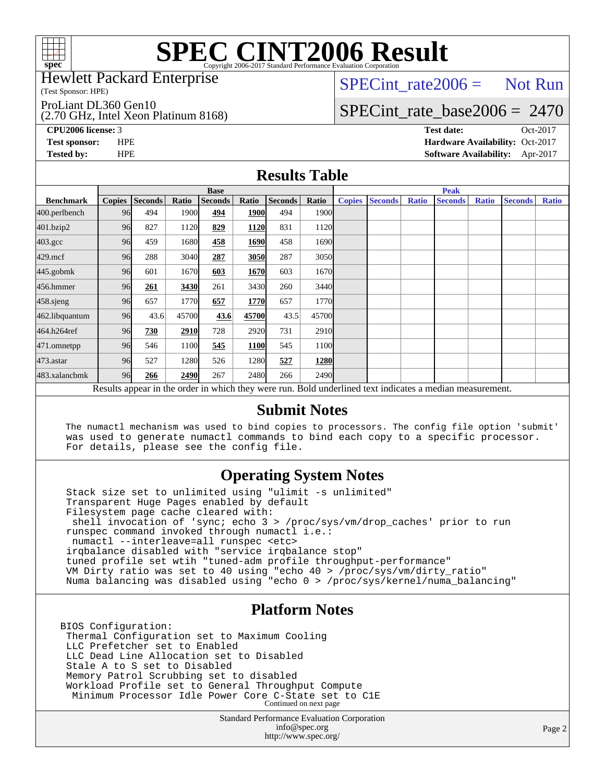

# **[SPEC CINT2006 Result](http://www.spec.org/auto/cpu2006/Docs/result-fields.html#SPECCINT2006Result)**

Hewlett Packard Enterprise

(Test Sponsor: HPE)

ProLiant DL360 Gen10

(2.70 GHz, Intel Xeon Platinum 8168)

 $SPECTnt_rate2006 = Not Run$ 

## [SPECint\\_rate\\_base2006 =](http://www.spec.org/auto/cpu2006/Docs/result-fields.html#SPECintratebase2006) 2470

**[CPU2006 license:](http://www.spec.org/auto/cpu2006/Docs/result-fields.html#CPU2006license)** 3 **[Test date:](http://www.spec.org/auto/cpu2006/Docs/result-fields.html#Testdate)** Oct-2017 **[Test sponsor:](http://www.spec.org/auto/cpu2006/Docs/result-fields.html#Testsponsor)** HPE **[Hardware Availability:](http://www.spec.org/auto/cpu2006/Docs/result-fields.html#HardwareAvailability)** Oct-2017 **[Tested by:](http://www.spec.org/auto/cpu2006/Docs/result-fields.html#Testedby)** HPE **[Software Availability:](http://www.spec.org/auto/cpu2006/Docs/result-fields.html#SoftwareAvailability)** Apr-2017

### **[Results Table](http://www.spec.org/auto/cpu2006/Docs/result-fields.html#ResultsTable)**

|                                                                                                          | <b>Base</b>   |                |       |                |       |                | <b>Peak</b>       |               |                |              |                |              |                |              |
|----------------------------------------------------------------------------------------------------------|---------------|----------------|-------|----------------|-------|----------------|-------------------|---------------|----------------|--------------|----------------|--------------|----------------|--------------|
| <b>Benchmark</b>                                                                                         | <b>Copies</b> | <b>Seconds</b> | Ratio | <b>Seconds</b> | Ratio | <b>Seconds</b> | Ratio             | <b>Copies</b> | <b>Seconds</b> | <b>Ratio</b> | <b>Seconds</b> | <b>Ratio</b> | <b>Seconds</b> | <b>Ratio</b> |
| 400.perlbench                                                                                            | 96            | 494            | 1900  | 494            | 1900  | 494            | 1900l             |               |                |              |                |              |                |              |
| 401.bzip2                                                                                                | 96            | 827            | 1120  | 829            | 1120  | 831            | 1120              |               |                |              |                |              |                |              |
| $403.\text{gcc}$                                                                                         | 96            | 459            | 1680  | 458            | 1690  | 458            | 1690              |               |                |              |                |              |                |              |
| $429$ .mcf                                                                                               | 96            | 288            | 3040  | 287            | 3050  | 287            | 3050              |               |                |              |                |              |                |              |
| $445$ .gobmk                                                                                             | 96            | 601            | 1670  | 603            | 1670  | 603            | 1670 <sub>l</sub> |               |                |              |                |              |                |              |
| $456.$ hmmer                                                                                             | 96            | 261            | 3430  | 261            | 3430  | 260            | 3440              |               |                |              |                |              |                |              |
| $458$ .sjeng                                                                                             | 96            | 657            | 1770  | 657            | 1770  | 657            | 1770 <b>I</b>     |               |                |              |                |              |                |              |
| 462.libquantum                                                                                           | 96            | 43.6           | 45700 | 43.6           | 45700 | 43.5           | 45700             |               |                |              |                |              |                |              |
| 464.h264ref                                                                                              | 96            | 730            | 2910  | 728            | 2920  | 731            | 2910              |               |                |              |                |              |                |              |
| 471.omnetpp                                                                                              | 96            | 546            | 1100  | 545            | 1100  | 545            | 1100              |               |                |              |                |              |                |              |
| 473.astar                                                                                                | 96            | 527            | 1280  | 526            | 1280  | 527            | 1280              |               |                |              |                |              |                |              |
| 483.xalancbmk                                                                                            | 96            | 266            | 2490  | 267            | 2480  | 266            | 2490              |               |                |              |                |              |                |              |
| Results appear in the order in which they were run. Bold underlined text indicates a median measurement. |               |                |       |                |       |                |                   |               |                |              |                |              |                |              |

### **[Submit Notes](http://www.spec.org/auto/cpu2006/Docs/result-fields.html#SubmitNotes)**

 The numactl mechanism was used to bind copies to processors. The config file option 'submit' was used to generate numactl commands to bind each copy to a specific processor. For details, please see the config file.

### **[Operating System Notes](http://www.spec.org/auto/cpu2006/Docs/result-fields.html#OperatingSystemNotes)**

 Stack size set to unlimited using "ulimit -s unlimited" Transparent Huge Pages enabled by default Filesystem page cache cleared with: shell invocation of 'sync; echo 3 > /proc/sys/vm/drop\_caches' prior to run runspec command invoked through numactl i.e.: numactl --interleave=all runspec <etc> irqbalance disabled with "service irqbalance stop" tuned profile set wtih "tuned-adm profile throughput-performance" VM Dirty ratio was set to 40 using "echo 40 > /proc/sys/vm/dirty\_ratio" Numa balancing was disabled using "echo 0 > /proc/sys/kernel/numa\_balancing"

### **[Platform Notes](http://www.spec.org/auto/cpu2006/Docs/result-fields.html#PlatformNotes)**

BIOS Configuration: Thermal Configuration set to Maximum Cooling LLC Prefetcher set to Enabled LLC Dead Line Allocation set to Disabled Stale A to S set to Disabled Memory Patrol Scrubbing set to disabled Workload Profile set to General Throughput Compute Minimum Processor Idle Power Core C-State set to C1E Continued on next page

> Standard Performance Evaluation Corporation [info@spec.org](mailto:info@spec.org) <http://www.spec.org/>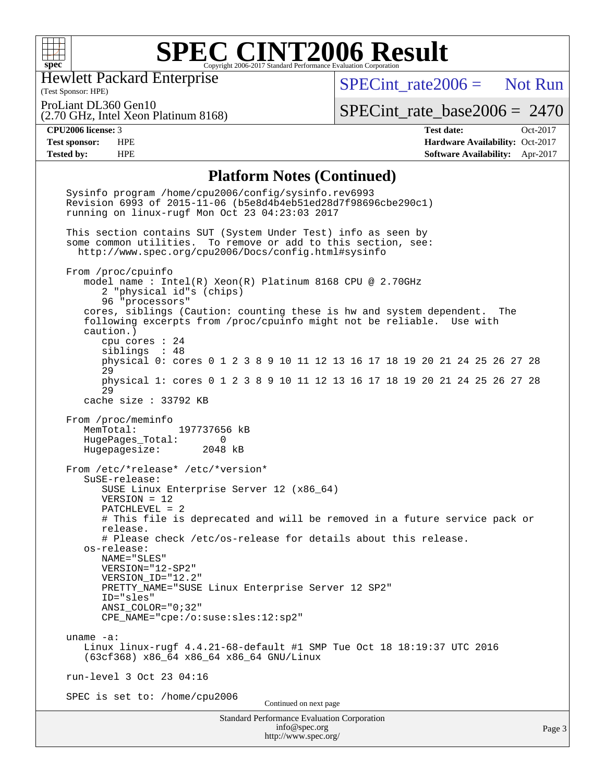

### **[SPEC CINT2006 Result](http://www.spec.org/auto/cpu2006/Docs/result-fields.html#SPECCINT2006Result)** Copyright 2006-2017 Standard Performance Evaluation Corporation

Hewlett Packard Enterprise

 $SPECTnt_rate2006 = Not Run$ 

(Test Sponsor: HPE) ProLiant DL360 Gen10

(2.70 GHz, Intel Xeon Platinum 8168)

[SPECint\\_rate\\_base2006 =](http://www.spec.org/auto/cpu2006/Docs/result-fields.html#SPECintratebase2006) 2470

**[CPU2006 license:](http://www.spec.org/auto/cpu2006/Docs/result-fields.html#CPU2006license)** 3 **[Test date:](http://www.spec.org/auto/cpu2006/Docs/result-fields.html#Testdate)** Oct-2017 **[Test sponsor:](http://www.spec.org/auto/cpu2006/Docs/result-fields.html#Testsponsor)** HPE **[Hardware Availability:](http://www.spec.org/auto/cpu2006/Docs/result-fields.html#HardwareAvailability)** Oct-2017 **[Tested by:](http://www.spec.org/auto/cpu2006/Docs/result-fields.html#Testedby)** HPE **[Software Availability:](http://www.spec.org/auto/cpu2006/Docs/result-fields.html#SoftwareAvailability)** Apr-2017

#### **[Platform Notes \(Continued\)](http://www.spec.org/auto/cpu2006/Docs/result-fields.html#PlatformNotes)**

Standard Performance Evaluation Corporation [info@spec.org](mailto:info@spec.org) <http://www.spec.org/> Page 3 Sysinfo program /home/cpu2006/config/sysinfo.rev6993 Revision 6993 of 2015-11-06 (b5e8d4b4eb51ed28d7f98696cbe290c1) running on linux-rugf Mon Oct 23 04:23:03 2017 This section contains SUT (System Under Test) info as seen by some common utilities. To remove or add to this section, see: <http://www.spec.org/cpu2006/Docs/config.html#sysinfo> From /proc/cpuinfo model name : Intel(R) Xeon(R) Platinum 8168 CPU @ 2.70GHz 2 "physical id"s (chips) 96 "processors" cores, siblings (Caution: counting these is hw and system dependent. The following excerpts from /proc/cpuinfo might not be reliable. Use with caution.) cpu cores : 24 siblings : 48 physical 0: cores 0 1 2 3 8 9 10 11 12 13 16 17 18 19 20 21 24 25 26 27 28 29 physical 1: cores 0 1 2 3 8 9 10 11 12 13 16 17 18 19 20 21 24 25 26 27 28 29 cache size : 33792 KB From /proc/meminfo MemTotal: 197737656 kB<br>HugePages Total: 0 HugePages\_Total: 0 Hugepagesize: 2048 kB From /etc/\*release\* /etc/\*version\* SuSE-release: SUSE Linux Enterprise Server 12 (x86\_64) VERSION = 12 PATCHLEVEL = 2 # This file is deprecated and will be removed in a future service pack or release. # Please check /etc/os-release for details about this release. os-release: NAME="SLES" VERSION="12-SP2" VERSION\_ID="12.2" PRETTY\_NAME="SUSE Linux Enterprise Server 12 SP2" ID="sles" ANSI\_COLOR="0;32" CPE\_NAME="cpe:/o:suse:sles:12:sp2" uname -a: Linux linux-rugf 4.4.21-68-default #1 SMP Tue Oct 18 18:19:37 UTC 2016 (63cf368) x86\_64 x86\_64 x86\_64 GNU/Linux run-level 3 Oct 23 04:16 SPEC is set to: /home/cpu2006 Continued on next page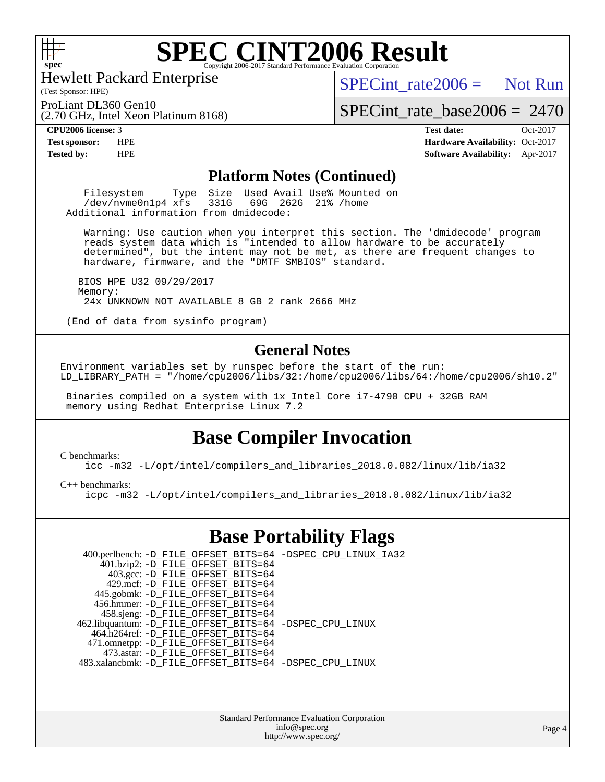

## **[SPEC CINT2006 Result](http://www.spec.org/auto/cpu2006/Docs/result-fields.html#SPECCINT2006Result)**

Hewlett Packard Enterprise

(2.70 GHz, Intel Xeon Platinum 8168)

 $SPECint rate2006 =$  Not Run

(Test Sponsor: HPE) ProLiant DL360 Gen10

[SPECint\\_rate\\_base2006 =](http://www.spec.org/auto/cpu2006/Docs/result-fields.html#SPECintratebase2006) 2470

**[CPU2006 license:](http://www.spec.org/auto/cpu2006/Docs/result-fields.html#CPU2006license)** 3 **[Test date:](http://www.spec.org/auto/cpu2006/Docs/result-fields.html#Testdate)** Oct-2017 **[Test sponsor:](http://www.spec.org/auto/cpu2006/Docs/result-fields.html#Testsponsor)** HPE **[Hardware Availability:](http://www.spec.org/auto/cpu2006/Docs/result-fields.html#HardwareAvailability)** Oct-2017 **[Tested by:](http://www.spec.org/auto/cpu2006/Docs/result-fields.html#Testedby)** HPE **[Software Availability:](http://www.spec.org/auto/cpu2006/Docs/result-fields.html#SoftwareAvailability)** Apr-2017

#### **[Platform Notes \(Continued\)](http://www.spec.org/auto/cpu2006/Docs/result-fields.html#PlatformNotes)**

Filesystem Type Size Used Avail Use% Mounted on<br>
/dev/nyme0n1p4 xfs 331G 69G 262G 21% /home  $/$ dev/nvme $0n1p4$  xfs Additional information from dmidecode:

 Warning: Use caution when you interpret this section. The 'dmidecode' program reads system data which is "intended to allow hardware to be accurately determined", but the intent may not be met, as there are frequent changes to hardware, firmware, and the "DMTF SMBIOS" standard.

 BIOS HPE U32 09/29/2017 Memory: 24x UNKNOWN NOT AVAILABLE 8 GB 2 rank 2666 MHz

(End of data from sysinfo program)

### **[General Notes](http://www.spec.org/auto/cpu2006/Docs/result-fields.html#GeneralNotes)**

Environment variables set by runspec before the start of the run: LD\_LIBRARY\_PATH = "/home/cpu2006/libs/32:/home/cpu2006/libs/64:/home/cpu2006/sh10.2"

 Binaries compiled on a system with 1x Intel Core i7-4790 CPU + 32GB RAM memory using Redhat Enterprise Linux 7.2

### **[Base Compiler Invocation](http://www.spec.org/auto/cpu2006/Docs/result-fields.html#BaseCompilerInvocation)**

[C benchmarks](http://www.spec.org/auto/cpu2006/Docs/result-fields.html#Cbenchmarks):

[icc -m32 -L/opt/intel/compilers\\_and\\_libraries\\_2018.0.082/linux/lib/ia32](http://www.spec.org/cpu2006/results/res2017q4/cpu2006-20171031-50416.flags.html#user_CCbase_intel_icc_355c401af4d5dc87e09103a6bbcae1c6)

[C++ benchmarks:](http://www.spec.org/auto/cpu2006/Docs/result-fields.html#CXXbenchmarks)

[icpc -m32 -L/opt/intel/compilers\\_and\\_libraries\\_2018.0.082/linux/lib/ia32](http://www.spec.org/cpu2006/results/res2017q4/cpu2006-20171031-50416.flags.html#user_CXXbase_intel_icpc_b34a6f497613b30bc6bf10051974f22f)

### **[Base Portability Flags](http://www.spec.org/auto/cpu2006/Docs/result-fields.html#BasePortabilityFlags)**

| 400.perlbench: -D_FILE_OFFSET_BITS=64 -DSPEC_CPU_LINUX_IA32 |
|-------------------------------------------------------------|
|                                                             |
|                                                             |
|                                                             |
|                                                             |
|                                                             |
|                                                             |
|                                                             |
| 462.libquantum: -D_FILE_OFFSET_BITS=64 -DSPEC_CPU_LINUX     |
|                                                             |
|                                                             |
|                                                             |
| 483.xalancbmk: -D FILE OFFSET BITS=64 -DSPEC CPU LINUX      |
|                                                             |

Standard Performance Evaluation Corporation [info@spec.org](mailto:info@spec.org) <http://www.spec.org/>